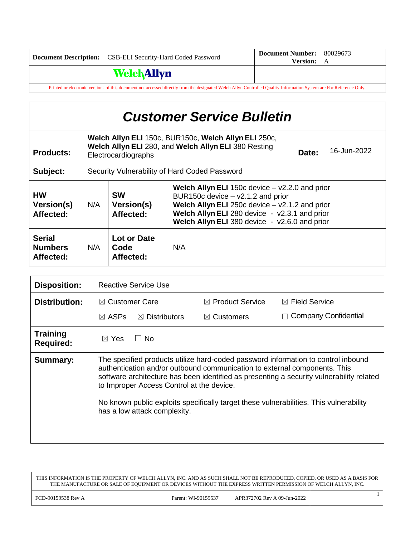|                                                                                                                                                                     | Document Description: CSB-ELI Security-Hard Coded Password | Document Number: 80029673<br><b>Version:</b> A |  |  |
|---------------------------------------------------------------------------------------------------------------------------------------------------------------------|------------------------------------------------------------|------------------------------------------------|--|--|
|                                                                                                                                                                     | <b>Welch Allyn</b>                                         |                                                |  |  |
| Printed or electronic versions of this document not accessed directly from the designated Welch Allyn Controlled Quality Information System are For Reference Only. |                                                            |                                                |  |  |

| <b>Customer Service Bulletin</b>             |                                                                                                                                                             |                                      |                                                                                                                                                                                                                                                           |  |  |
|----------------------------------------------|-------------------------------------------------------------------------------------------------------------------------------------------------------------|--------------------------------------|-----------------------------------------------------------------------------------------------------------------------------------------------------------------------------------------------------------------------------------------------------------|--|--|
| <b>Products:</b>                             | Welch Allyn ELI 150c, BUR150c, Welch Allyn ELI 250c,<br>Welch Allyn ELI 280, and Welch Allyn ELI 380 Resting<br>16-Jun-2022<br>Date:<br>Electrocardiographs |                                      |                                                                                                                                                                                                                                                           |  |  |
| Subject:                                     | Security Vulnerability of Hard Coded Password                                                                                                               |                                      |                                                                                                                                                                                                                                                           |  |  |
| <b>HW</b><br>Version(s)<br>Affected:         | N/A                                                                                                                                                         | <b>SW</b><br>Version(s)<br>Affected: | <b>Welch Allyn ELI</b> 150c device $-$ v2.2.0 and prior<br>BUR150c device - v2.1.2 and prior<br><b>Welch Allyn ELI</b> 250c device $-$ v2.1.2 and prior<br>Welch Allyn ELI 280 device - v2.3.1 and prior<br>Welch Allyn ELI 380 device - v2.6.0 and prior |  |  |
| <b>Serial</b><br><b>Numbers</b><br>Affected: | N/A                                                                                                                                                         | Lot or Date<br>Code<br>Affected:     | N/A                                                                                                                                                                                                                                                       |  |  |

| <b>Disposition:</b>                 | <b>Reactive Service Use</b>                                                                                                                                                                                                                                                                                                                                                                                                       |                             |                             |  |
|-------------------------------------|-----------------------------------------------------------------------------------------------------------------------------------------------------------------------------------------------------------------------------------------------------------------------------------------------------------------------------------------------------------------------------------------------------------------------------------|-----------------------------|-----------------------------|--|
| <b>Distribution:</b>                | $\boxtimes$ Customer Care                                                                                                                                                                                                                                                                                                                                                                                                         | $\boxtimes$ Product Service | $\boxtimes$ Field Service   |  |
|                                     | $\boxtimes$ Distributors<br>$\boxtimes$ ASPs                                                                                                                                                                                                                                                                                                                                                                                      | $\boxtimes$ Customers       | <b>Company Confidential</b> |  |
| <b>Training</b><br><b>Required:</b> | ∣ I No<br>$\boxtimes$ Yes                                                                                                                                                                                                                                                                                                                                                                                                         |                             |                             |  |
| <b>Summary:</b>                     | The specified products utilize hard-coded password information to control inbound<br>authentication and/or outbound communication to external components. This<br>software architecture has been identified as presenting a security vulnerability related<br>to Improper Access Control at the device.<br>No known public exploits specifically target these vulnerabilities. This vulnerability<br>has a low attack complexity. |                             |                             |  |
|                                     |                                                                                                                                                                                                                                                                                                                                                                                                                                   |                             |                             |  |

THIS INFORMATION IS THE PROPERTY OF WELCH ALLYN, INC. AND AS SUCH SHALL NOT BE REPRODUCED, COPIED, OR USED AS A BASIS FOR THE MANUFACTURE OR SALE OF EQUIPMENT OR DEVICES WITHOUT THE EXPRESS WRITTEN PERMISSION OF WELCH ALLYN, INC.

1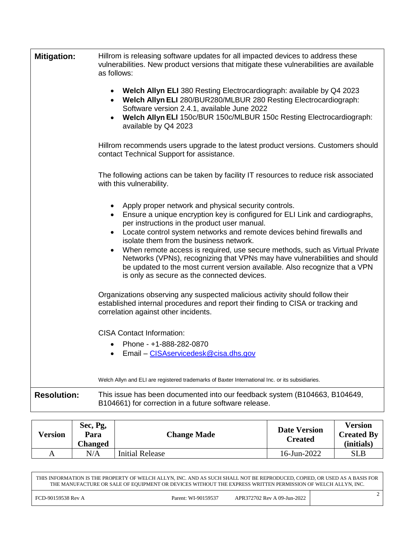| <b>Mitigation:</b> | Hillrom is releasing software updates for all impacted devices to address these<br>vulnerabilities. New product versions that mitigate these vulnerabilities are available<br>as follows:                                                                                                                                                                                                                                                                                                                                                                                                                        |  |  |  |
|--------------------|------------------------------------------------------------------------------------------------------------------------------------------------------------------------------------------------------------------------------------------------------------------------------------------------------------------------------------------------------------------------------------------------------------------------------------------------------------------------------------------------------------------------------------------------------------------------------------------------------------------|--|--|--|
|                    | <b>Welch Allyn ELI</b> 380 Resting Electrocardiograph: available by Q4 2023<br>Welch Allyn ELI 280/BUR280/MLBUR 280 Resting Electrocardiograph:<br>Software version 2.4.1, available June 2022<br>Welch Allyn ELI 150c/BUR 150c/MLBUR 150c Resting Electrocardiograph:<br>available by Q4 2023                                                                                                                                                                                                                                                                                                                   |  |  |  |
|                    | Hillrom recommends users upgrade to the latest product versions. Customers should<br>contact Technical Support for assistance.                                                                                                                                                                                                                                                                                                                                                                                                                                                                                   |  |  |  |
|                    | The following actions can be taken by facility IT resources to reduce risk associated<br>with this vulnerability.                                                                                                                                                                                                                                                                                                                                                                                                                                                                                                |  |  |  |
|                    | Apply proper network and physical security controls.<br>Ensure a unique encryption key is configured for ELI Link and cardiographs,<br>$\bullet$<br>per instructions in the product user manual.<br>Locate control system networks and remote devices behind firewalls and<br>isolate them from the business network.<br>When remote access is required, use secure methods, such as Virtual Private<br>Networks (VPNs), recognizing that VPNs may have vulnerabilities and should<br>be updated to the most current version available. Also recognize that a VPN<br>is only as secure as the connected devices. |  |  |  |
|                    | Organizations observing any suspected malicious activity should follow their<br>established internal procedures and report their finding to CISA or tracking and<br>correlation against other incidents.                                                                                                                                                                                                                                                                                                                                                                                                         |  |  |  |
|                    | <b>CISA Contact Information:</b><br>Phone - +1-888-282-0870<br>$\bullet$<br>Email - CISAservicedesk@cisa.dhs.gov                                                                                                                                                                                                                                                                                                                                                                                                                                                                                                 |  |  |  |
|                    | Welch Allyn and ELI are registered trademarks of Baxter International Inc. or its subsidiaries.                                                                                                                                                                                                                                                                                                                                                                                                                                                                                                                  |  |  |  |
| $D$ aaalufaan      | This issue has been decumented into our feedback system (R104663, R104640)                                                                                                                                                                                                                                                                                                                                                                                                                                                                                                                                       |  |  |  |

**Resolution:** This issue has been documented into our feedback system (B104663, B104649, B104661) for correction in a future software release.

| Version | Sec, Pg,<br>Para<br><b>Changed</b> | <b>Change Made</b>     | <b>Date Version</b><br><b>Created</b> | <b>Version</b><br><b>Created By</b><br>(initials) |
|---------|------------------------------------|------------------------|---------------------------------------|---------------------------------------------------|
| Α       | $\rm N/A$                          | <b>Initial Release</b> | 16-Jun-2022                           | <b>SLB</b>                                        |

THIS INFORMATION IS THE PROPERTY OF WELCH ALLYN, INC. AND AS SUCH SHALL NOT BE REPRODUCED, COPIED, OR USED AS A BASIS FOR THE MANUFACTURE OR SALE OF EQUIPMENT OR DEVICES WITHOUT THE EXPRESS WRITTEN PERMISSION OF WELCH ALLYN, INC.